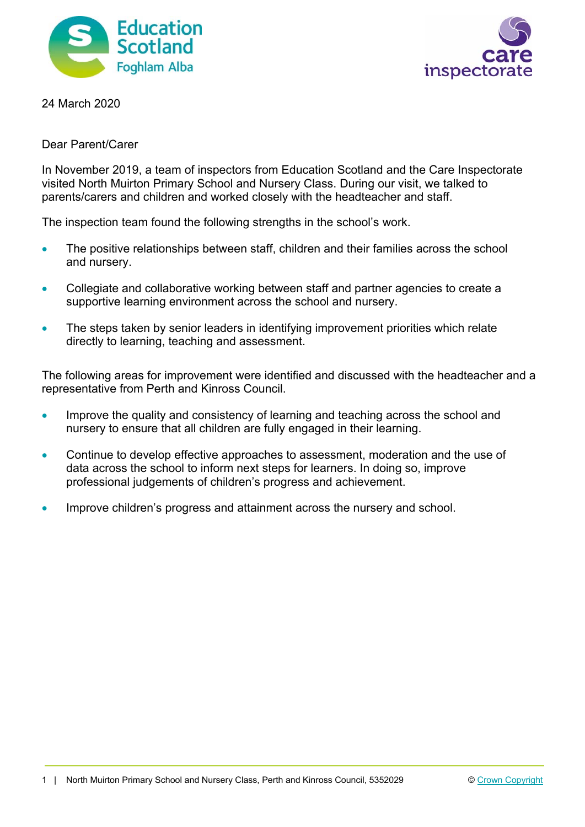



24 March 2020

Dear Parent/Carer

In November 2019, a team of inspectors from Education Scotland and the Care Inspectorate visited North Muirton Primary School and Nursery Class. During our visit, we talked to parents/carers and children and worked closely with the headteacher and staff.

The inspection team found the following strengths in the school's work.

- The positive relationships between staff, children and their families across the school and nursery.
- Collegiate and collaborative working between staff and partner agencies to create a supportive learning environment across the school and nursery.
- The steps taken by senior leaders in identifying improvement priorities which relate directly to learning, teaching and assessment.

The following areas for improvement were identified and discussed with the headteacher and a representative from Perth and Kinross Council.

- Improve the quality and consistency of learning and teaching across the school and nursery to ensure that all children are fully engaged in their learning.
- Continue to develop effective approaches to assessment, moderation and the use of data across the school to inform next steps for learners. In doing so, improve professional judgements of children's progress and achievement.
- Improve children's progress and attainment across the nursery and school.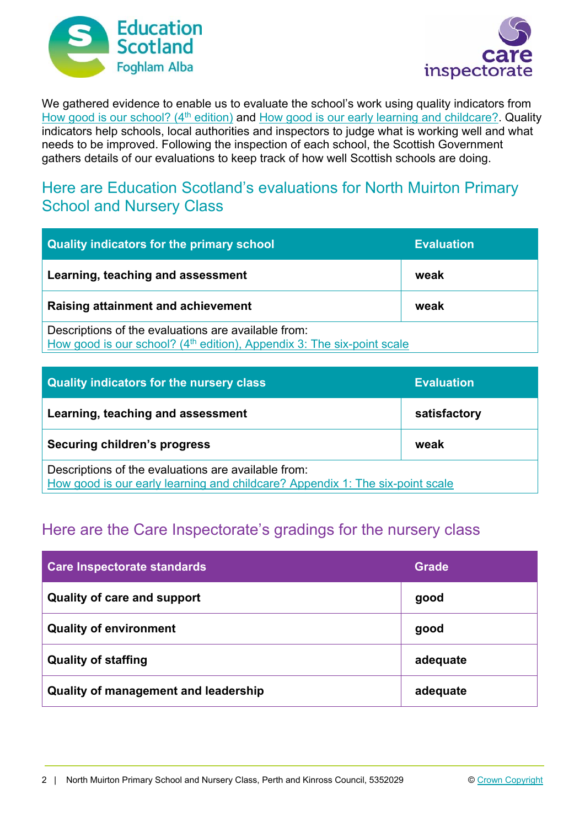



We gathered evidence to enable us to evaluate the school's work using quality indicators from How good is our school? (4<sup>th</sup> edition) and How good is our early learning and childcare? Quality indicators help schools, local authorities and inspectors to judge what is working well and what needs to be improved. Following the inspection of each school, the Scottish Government gathers details of our evaluations to keep track of how well Scottish schools are doing.

## Here are Education Scotland's evaluations for North Muirton Primary School and Nursery Class

| <b>Quality indicators for the primary school</b>                                                                                          | <b>Evaluation</b> |
|-------------------------------------------------------------------------------------------------------------------------------------------|-------------------|
| Learning, teaching and assessment                                                                                                         | weak              |
| Raising attainment and achievement                                                                                                        | weak              |
| Descriptions of the evaluations are available from:<br>How good is our school? (4 <sup>th</sup> edition), Appendix 3: The six-point scale |                   |

| Quality indicators for the nursery class                                                                                             | <b>Evaluation</b> |
|--------------------------------------------------------------------------------------------------------------------------------------|-------------------|
| Learning, teaching and assessment                                                                                                    | satisfactory      |
| Securing children's progress                                                                                                         | weak              |
| Descriptions of the evaluations are available from:<br>How good is our early learning and childcare? Appendix 1: The six-point scale |                   |

# Here are the Care Inspectorate's gradings for the nursery class

| <b>Care Inspectorate standards</b>          | Grade    |
|---------------------------------------------|----------|
| <b>Quality of care and support</b>          | good     |
| <b>Quality of environment</b>               | good     |
| <b>Quality of staffing</b>                  | adequate |
| <b>Quality of management and leadership</b> | adequate |